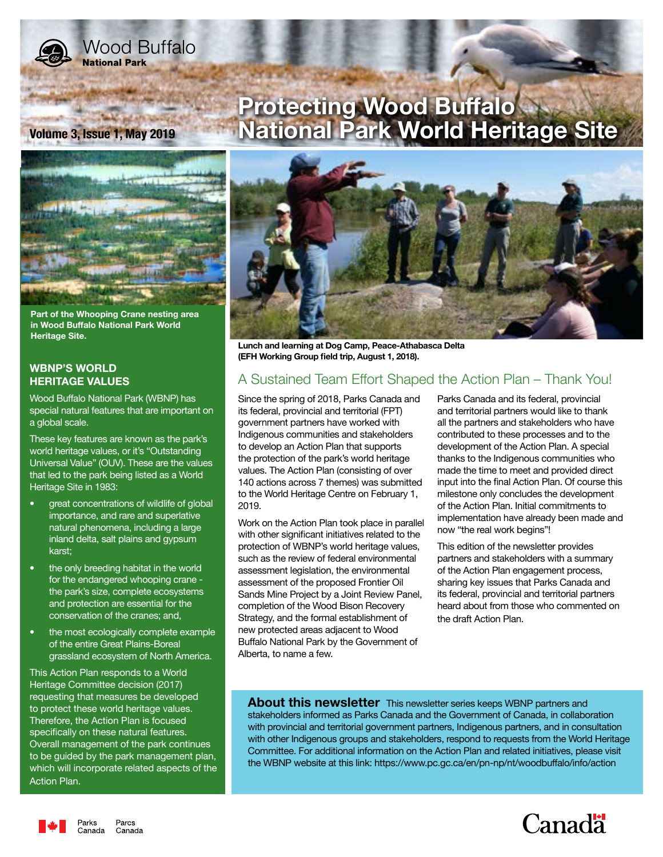

# **Wood Buffalo National Park**



**Part of the Whooping Crane nesting area in Wood Buffalo National Park World Heritage Site.**

## **WBNP'S WORLD HERITAGE VALUES**

Wood Buffalo National Park (WBNP) has special natural features that are important on a global scale.

These key features are known as the park's world heritage values, or it's "Outstanding Universal Value" (OUV). These are the values that led to the park being listed as a World Heritage Site in 1983:

- great concentrations of wildlife of global importance, and rare and superlative natural phenomena, including a large inland delta, salt plains and gypsum karst;
- the only breeding habitat in the world for the endangered whooping crane the park's size, complete ecosystems and protection are essential for the conservation of the cranes; and,
- the most ecologically complete example of the entire Great Plains-Boreal grassland ecosystem of North America.

This Action Plan responds to a World Heritage Committee decision (2017) requesting that measures be developed to protect these world heritage values. Therefore, the Action Plan is focused specifically on these natural features. Overall management of the park continues to be guided by the park management plan, which will incorporate related aspects of the Action Plan.

Parcs

Canada

# **Protecting Wood Buffalo Volume 3, Issue 1, May 2019 National Park World Heritage Site**



**Lunch and learning at Dog Camp, Peace-Athabasca Delta (EFH Working Group field trip, August 1, 2018).**

# A Sustained Team Effort Shaped the Action Plan – Thank You!

Since the spring of 2018, Parks Canada and its federal, provincial and territorial (FPT) government partners have worked with Indigenous communities and stakeholders to develop an Action Plan that supports the protection of the park's world heritage values. The Action Plan (consisting of over 140 actions across 7 themes) was submitted to the World Heritage Centre on February 1, 2019.

Work on the Action Plan took place in parallel with other significant initiatives related to the protection of WBNP's world heritage values, such as the review of federal environmental assessment legislation, the environmental assessment of the proposed Frontier Oil Sands Mine Project by a Joint Review Panel, completion of the Wood Bison Recovery Strategy, and the formal establishment of new protected areas adjacent to Wood Buffalo National Park by the Government of Alberta, to name a few.

Parks Canada and its federal, provincial and territorial partners would like to thank all the partners and stakeholders who have contributed to these processes and to the development of the Action Plan. A special thanks to the Indigenous communities who made the time to meet and provided direct input into the final Action Plan. Of course this milestone only concludes the development of the Action Plan. Initial commitments to implementation have already been made and now "the real work begins"!

This edition of the newsletter provides partners and stakeholders with a summary of the Action Plan engagement process, sharing key issues that Parks Canada and its federal, provincial and territorial partners heard about from those who commented on the draft Action Plan.

**About this newsletter** This newsletter series keeps WBNP partners and stakeholders informed as Parks Canada and the Government of Canada, in collaboration with provincial and territorial government partners, Indigenous partners, and in consultation with other Indigenous groups and stakeholders, respond to requests from the World Heritage Committee. For additional information on the Action Plan and related initiatives, please visit the WBNP website at this link: https://www.pc.gc.ca/en/pn-np/nt/woodbuffalo/info/action

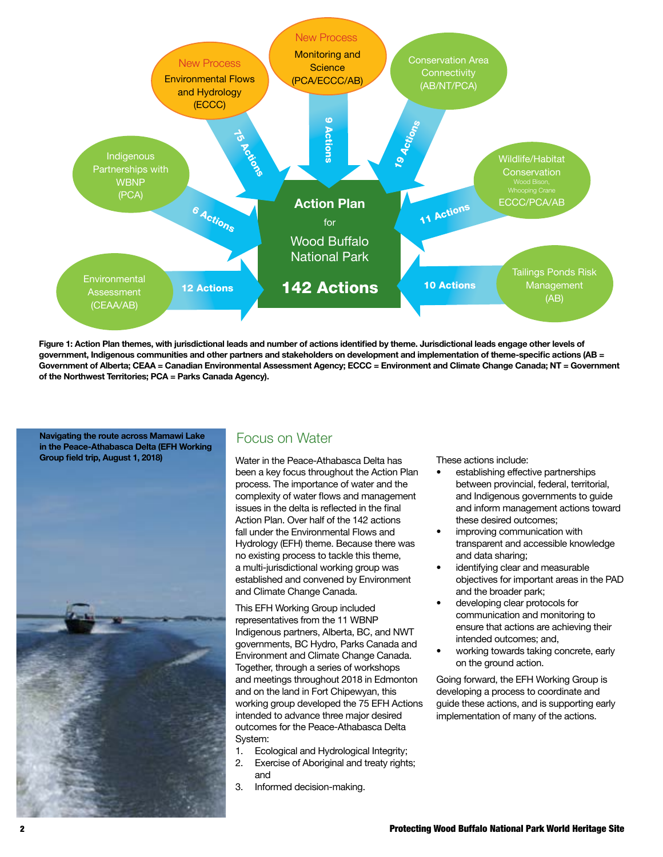

**Figure 1: Action Plan themes, with jurisdictional leads and number of actions identified by theme. Jurisdictional leads engage other levels of government, Indigenous communities and other partners and stakeholders on development and implementation of theme-specific actions (AB = Government of Alberta; CEAA = Canadian Environmental Assessment Agency; ECCC = Environment and Climate Change Canada; NT = Government of the Northwest Territories; PCA = Parks Canada Agency).**

Navigating the route across Mamawi Lake **FOCUS ON Water in the Peace-Athabasca Delta (EFH Working Group field trip, August 1, 2018)**



Water in the Peace-Athabasca Delta has been a key focus throughout the Action Plan process. The importance of water and the complexity of water flows and management issues in the delta is reflected in the final Action Plan. Over half of the 142 actions fall under the Environmental Flows and Hydrology (EFH) theme. Because there was no existing process to tackle this theme, a multi-jurisdictional working group was established and convened by Environment and Climate Change Canada.

This EFH Working Group included representatives from the 11 WBNP Indigenous partners, Alberta, BC, and NWT governments, BC Hydro, Parks Canada and Environment and Climate Change Canada. Together, through a series of workshops and meetings throughout 2018 in Edmonton and on the land in Fort Chipewyan, this working group developed the 75 EFH Actions intended to advance three major desired outcomes for the Peace-Athabasca Delta System:

- 1. Ecological and Hydrological Integrity;
- 2. Exercise of Aboriginal and treaty rights; and
- 3. Informed decision-making.

These actions include:

- establishing effective partnerships between provincial, federal, territorial, and Indigenous governments to guide and inform management actions toward these desired outcomes;
- improving communication with transparent and accessible knowledge and data sharing;
- identifying clear and measurable objectives for important areas in the PAD and the broader park;
- developing clear protocols for communication and monitoring to ensure that actions are achieving their intended outcomes; and,
- working towards taking concrete, early on the ground action.

Going forward, the EFH Working Group is developing a process to coordinate and guide these actions, and is supporting early implementation of many of the actions.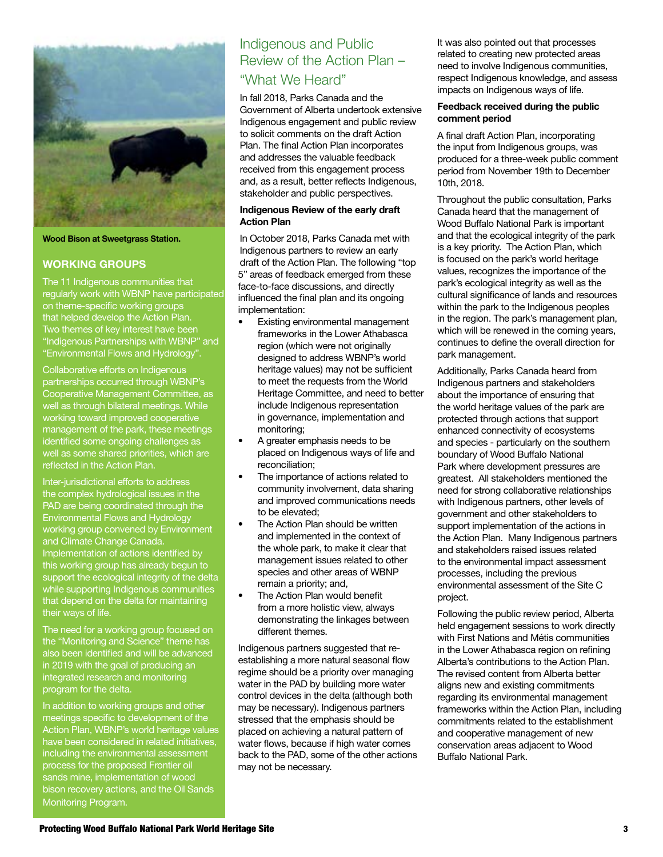

#### **Wood Bison at Sweetgrass Station.**

## **WORKING GROUPS**

The 11 Indigenous communities that regularly work with WBNP have participated on theme-specific working groups that helped develop the Action Plan. Two themes of key interest have been "Indigenous Partnerships with WBNP" and "Environmental Flows and Hydrology".

Collaborative efforts on Indigenous partnerships occurred through WBNP's Cooperative Management Committee, as well as through bilateral meetings. While working toward improved cooperative management of the park, these meetings identified some ongoing challenges as well as some shared priorities, which are reflected in the Action Plan.

Inter-jurisdictional efforts to address the complex hydrological issues in the PAD are being coordinated through the Environmental Flows and Hydrology working group convened by Environment and Climate Change Canada. Implementation of actions identified by this working group has already begun to support the ecological integrity of the delta while supporting Indigenous communities that depend on the delta for maintaining their ways of life.

The need for a working group focused on the "Monitoring and Science" theme has also been identified and will be advanced in 2019 with the goal of producing an integrated research and monitoring program for the delta.

In addition to working groups and other meetings specific to development of the Action Plan, WBNP's world heritage values have been considered in related initiatives, including the environmental assessment process for the proposed Frontier oil bison recovery actions, and the Oil Sands Monitoring Program.

# Indigenous and Public Review of the Action Plan – "What We Heard"

In fall 2018, Parks Canada and the Government of Alberta undertook extensive Indigenous engagement and public review to solicit comments on the draft Action Plan. The final Action Plan incorporates and addresses the valuable feedback received from this engagement process and, as a result, better reflects Indigenous, stakeholder and public perspectives.

#### **Indigenous Review of the early draft Action Plan**

In October 2018, Parks Canada met with Indigenous partners to review an early draft of the Action Plan. The following "top 5" areas of feedback emerged from these face-to-face discussions, and directly influenced the final plan and its ongoing implementation:

- Existing environmental management frameworks in the Lower Athabasca region (which were not originally designed to address WBNP's world heritage values) may not be sufficient to meet the requests from the World Heritage Committee, and need to better include Indigenous representation in governance, implementation and monitoring;
- A greater emphasis needs to be placed on Indigenous ways of life and reconciliation;
- The importance of actions related to community involvement, data sharing and improved communications needs to be elevated;
- The Action Plan should be written and implemented in the context of the whole park, to make it clear that management issues related to other species and other areas of WBNP remain a priority; and,
- The Action Plan would benefit from a more holistic view, always demonstrating the linkages between different themes.

Indigenous partners suggested that reestablishing a more natural seasonal flow regime should be a priority over managing water in the PAD by building more water control devices in the delta (although both may be necessary). Indigenous partners stressed that the emphasis should be placed on achieving a natural pattern of water flows, because if high water comes back to the PAD, some of the other actions may not be necessary.

It was also pointed out that processes related to creating new protected areas need to involve Indigenous communities, respect Indigenous knowledge, and assess impacts on Indigenous ways of life.

### **Feedback received during the public comment period**

A final draft Action Plan, incorporating the input from Indigenous groups, was produced for a three-week public comment period from November 19th to December 10th, 2018.

Throughout the public consultation, Parks Canada heard that the management of Wood Buffalo National Park is important and that the ecological integrity of the park is a key priority. The Action Plan, which is focused on the park's world heritage values, recognizes the importance of the park's ecological integrity as well as the cultural significance of lands and resources within the park to the Indigenous peoples in the region. The park's management plan, which will be renewed in the coming years, continues to define the overall direction for park management.

Additionally, Parks Canada heard from Indigenous partners and stakeholders about the importance of ensuring that the world heritage values of the park are protected through actions that support enhanced connectivity of ecosystems and species - particularly on the southern boundary of Wood Buffalo National Park where development pressures are greatest. All stakeholders mentioned the need for strong collaborative relationships with Indigenous partners, other levels of government and other stakeholders to support implementation of the actions in the Action Plan. Many Indigenous partners and stakeholders raised issues related to the environmental impact assessment processes, including the previous environmental assessment of the Site C project.

Following the public review period, Alberta held engagement sessions to work directly with First Nations and Métis communities in the Lower Athabasca region on refining Alberta's contributions to the Action Plan. The revised content from Alberta better aligns new and existing commitments regarding its environmental management frameworks within the Action Plan, including commitments related to the establishment and cooperative management of new conservation areas adjacent to Wood Buffalo National Park.